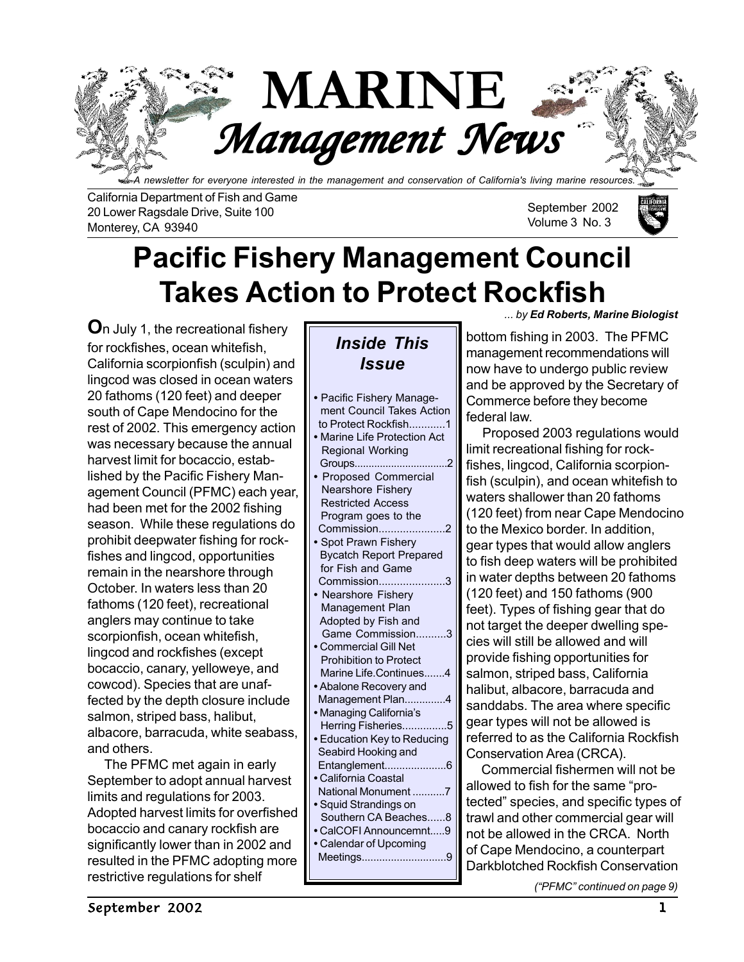

*A newsletter for everyone interested in the management and conservation of California's living marine resources.*

California Department of Fish and Game 20 Lower Ragsdale Drive, Suite 100 Monterey, CA 93940

September 2002 Volume 3 No. 3



# **Pacific Fishery Management Council Takes Action to Protect Rockfish**

**O**n July 1, the recreational fishery for rockfishes, ocean whitefish, California scorpionfish (sculpin) and lingcod was closed in ocean waters 20 fathoms (120 feet) and deeper south of Cape Mendocino for the rest of 2002. This emergency action was necessary because the annual harvest limit for bocaccio, established by the Pacific Fishery Management Council (PFMC) each year, had been met for the 2002 fishing season. While these regulations do prohibit deepwater fishing for rockfishes and lingcod, opportunities remain in the nearshore through October. In waters less than 20 fathoms (120 feet), recreational anglers may continue to take scorpionfish, ocean whitefish, lingcod and rockfishes (except bocaccio, canary, yelloweye, and cowcod). Species that are unaffected by the depth closure include salmon, striped bass, halibut, albacore, barracuda, white seabass, and others.

 The PFMC met again in early September to adopt annual harvest limits and regulations for 2003. Adopted harvest limits for overfished bocaccio and canary rockfish are significantly lower than in 2002 and resulted in the PFMC adopting more restrictive regulations for shelf

### *Inside This Issue*

| • Pacific Fishery Manage-                |
|------------------------------------------|
| ment Council Takes Action                |
| to Protect Rockfish1                     |
| · Marine Life Protection Act             |
| <b>Regional Working</b>                  |
| Groups<br>.                              |
| Proposed Commercial                      |
| <b>Nearshore Fishery</b>                 |
| <b>Restricted Access</b>                 |
| Program goes to the                      |
| Commission                               |
| · Spot Prawn Fishery                     |
| <b>Bycatch Report Prepared</b>           |
| for Fish and Game                        |
| Commission                               |
| <b>Nearshore Fishery</b>                 |
| Management Plan                          |
| Adopted by Fish and                      |
| Game Commission<br>3                     |
| <b>Commercial Gill Net</b>               |
| <b>Prohibition to Protect</b>            |
| Marine Life.Continues<br>4               |
| • Abalone Recovery and                   |
| Management Plan<br>$\boldsymbol{\Delta}$ |
| · Managing California's                  |
| Herring Fisheries                        |
| • Education Key to Reducing              |
| Seabird Hooking and                      |
| Entanglement6                            |
| • California Coastal                     |
| National Monument 7                      |
| • Squid Strandings on                    |
| Southern CA Beaches8                     |
| • CalCOFI Announcemnt9                   |
| • Calendar of Upcoming                   |
| Meetings                                 |
|                                          |
|                                          |

*... by Ed Roberts, Marine Biologist*

bottom fishing in 2003. The PFMC management recommendations will now have to undergo public review and be approved by the Secretary of Commerce before they become federal law.

 Proposed 2003 regulations would limit recreational fishing for rockfishes, lingcod, California scorpionfish (sculpin), and ocean whitefish to waters shallower than 20 fathoms (120 feet) from near Cape Mendocino to the Mexico border. In addition, gear types that would allow anglers to fish deep waters will be prohibited in water depths between 20 fathoms (120 feet) and 150 fathoms (900 feet). Types of fishing gear that do not target the deeper dwelling species will still be allowed and will provide fishing opportunities for salmon, striped bass, California halibut, albacore, barracuda and sanddabs. The area where specific gear types will not be allowed is referred to as the California Rockfish Conservation Area (CRCA).

 Commercial fishermen will not be allowed to fish for the same "protected" species, and specific types of trawl and other commercial gear will not be allowed in the CRCA. North of Cape Mendocino, a counterpart Darkblotched Rockfish Conservation

*("PFMC" continued on page 9)*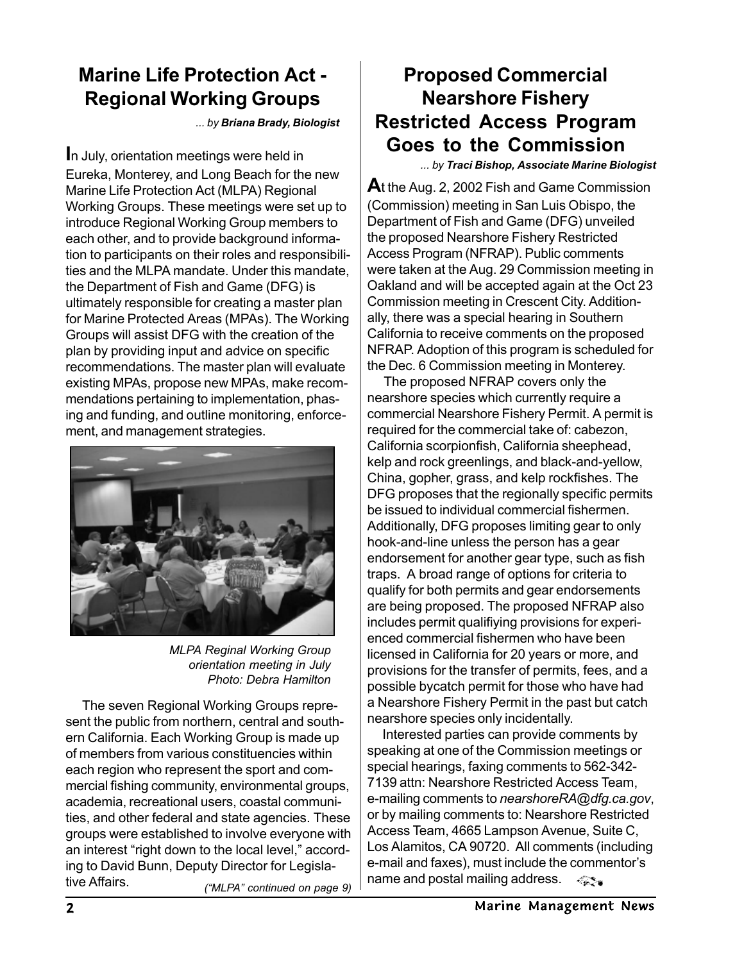### **Marine Life Protection Act - Regional Working Groups**

*... by Briana Brady, Biologist*

**I**n July, orientation meetings were held in Eureka, Monterey, and Long Beach for the new Marine Life Protection Act (MLPA) Regional Working Groups. These meetings were set up to introduce Regional Working Group members to each other, and to provide background information to participants on their roles and responsibilities and the MLPA mandate. Under this mandate, the Department of Fish and Game (DFG) is ultimately responsible for creating a master plan for Marine Protected Areas (MPAs). The Working Groups will assist DFG with the creation of the plan by providing input and advice on specific recommendations. The master plan will evaluate existing MPAs, propose new MPAs, make recommendations pertaining to implementation, phasing and funding, and outline monitoring, enforcement, and management strategies.



*MLPA Reginal Working Group orientation meeting in July Photo: Debra Hamilton*

*("MLPA" continued on page 9)* The seven Regional Working Groups represent the public from northern, central and southern California. Each Working Group is made up of members from various constituencies within each region who represent the sport and commercial fishing community, environmental groups, academia, recreational users, coastal communities, and other federal and state agencies. These groups were established to involve everyone with an interest "right down to the local level," according to David Bunn, Deputy Director for Legislative Affairs.

### **Proposed Commercial Nearshore Fishery Restricted Access Program Goes to the Commission**

*... by Traci Bishop, Associate Marine Biologist*

**A**t the Aug. 2, 2002 Fish and Game Commission (Commission) meeting in San Luis Obispo, the Department of Fish and Game (DFG) unveiled the proposed Nearshore Fishery Restricted Access Program (NFRAP). Public comments were taken at the Aug. 29 Commission meeting in Oakland and will be accepted again at the Oct 23 Commission meeting in Crescent City. Additionally, there was a special hearing in Southern California to receive comments on the proposed NFRAP. Adoption of this program is scheduled for the Dec. 6 Commission meeting in Monterey.

 The proposed NFRAP covers only the nearshore species which currently require a commercial Nearshore Fishery Permit. A permit is required for the commercial take of: cabezon, California scorpionfish, California sheephead, kelp and rock greenlings, and black-and-yellow, China, gopher, grass, and kelp rockfishes. The DFG proposes that the regionally specific permits be issued to individual commercial fishermen. Additionally, DFG proposes limiting gear to only hook-and-line unless the person has a gear endorsement for another gear type, such as fish traps. A broad range of options for criteria to qualify for both permits and gear endorsements are being proposed. The proposed NFRAP also includes permit qualifiying provisions for experienced commercial fishermen who have been licensed in California for 20 years or more, and provisions for the transfer of permits, fees, and a possible bycatch permit for those who have had a Nearshore Fishery Permit in the past but catch nearshore species only incidentally.

 Interested parties can provide comments by speaking at one of the Commission meetings or special hearings, faxing comments to 562-342- 7139 attn: Nearshore Restricted Access Team, e-mailing comments to *nearshoreRA@dfg.ca.gov*, or by mailing comments to: Nearshore Restricted Access Team, 4665 Lampson Avenue, Suite C, Los Alamitos, CA 90720. All comments (including e-mail and faxes), must include the commentor's name and postal mailing address.  $\lll$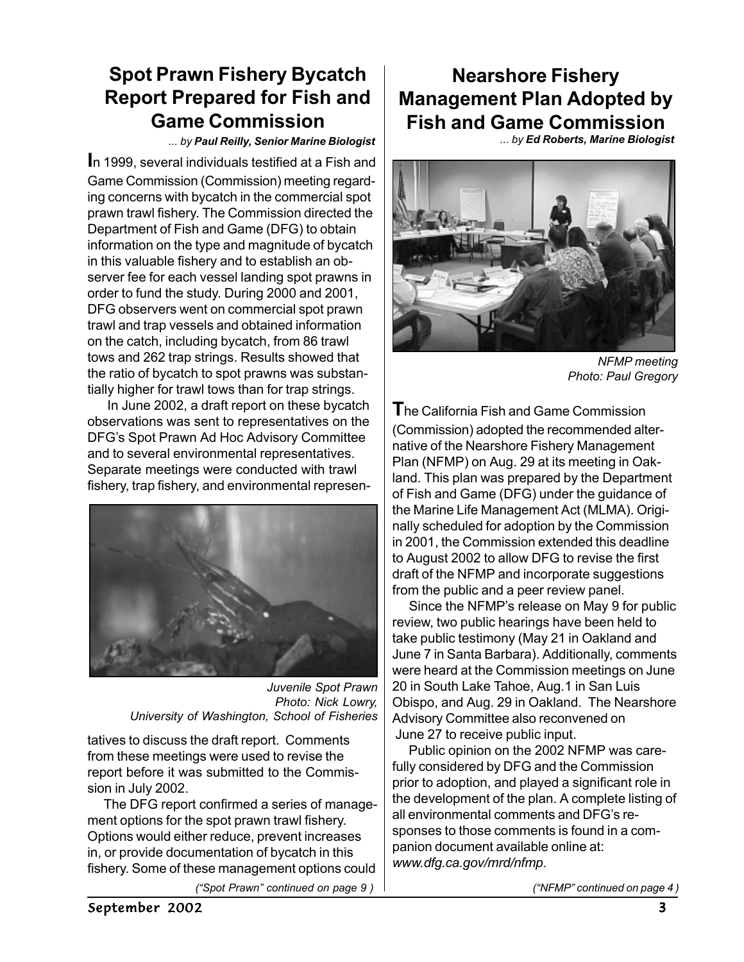### **Spot Prawn Fishery Bycatch Report Prepared for Fish and Game Commission**

*... by Paul Reilly, Senior Marine Biologist*

**I**n 1999, several individuals testified at a Fish and Game Commission (Commission) meeting regarding concerns with bycatch in the commercial spot prawn trawl fishery. The Commission directed the Department of Fish and Game (DFG) to obtain information on the type and magnitude of bycatch in this valuable fishery and to establish an observer fee for each vessel landing spot prawns in order to fund the study. During 2000 and 2001, DFG observers went on commercial spot prawn trawl and trap vessels and obtained information on the catch, including bycatch, from 86 trawl tows and 262 trap strings. Results showed that the ratio of bycatch to spot prawns was substantially higher for trawl tows than for trap strings.

 In June 2002, a draft report on these bycatch observations was sent to representatives on the DFG's Spot Prawn Ad Hoc Advisory Committee and to several environmental representatives. Separate meetings were conducted with trawl fishery, trap fishery, and environmental represen-



*Juvenile Spot Prawn Photo: Nick Lowry, University of Washington, School of Fisheries*

tatives to discuss the draft report. Comments from these meetings were used to revise the report before it was submitted to the Commission in July 2002.

 The DFG report confirmed a series of management options for the spot prawn trawl fishery. Options would either reduce, prevent increases in, or provide documentation of bycatch in this fishery. Some of these management options could

### **Nearshore Fishery Management Plan Adopted by Fish and Game Commission**

*... by Ed Roberts, Marine Biologist*



*NFMP meeting Photo: Paul Gregory*

**T**he California Fish and Game Commission (Commission) adopted the recommended alternative of the Nearshore Fishery Management Plan (NFMP) on Aug. 29 at its meeting in Oakland. This plan was prepared by the Department of Fish and Game (DFG) under the guidance of the Marine Life Management Act (MLMA). Originally scheduled for adoption by the Commission in 2001, the Commission extended this deadline to August 2002 to allow DFG to revise the first draft of the NFMP and incorporate suggestions from the public and a peer review panel.

 Since the NFMP's release on May 9 for public review, two public hearings have been held to take public testimony (May 21 in Oakland and June 7 in Santa Barbara). Additionally, comments were heard at the Commission meetings on June 20 in South Lake Tahoe, Aug.1 in San Luis Obispo, and Aug. 29 in Oakland. The Nearshore Advisory Committee also reconvened on June 27 to receive public input.

 Public opinion on the 2002 NFMP was carefully considered by DFG and the Commission prior to adoption, and played a significant role in the development of the plan. A complete listing of all environmental comments and DFG's responses to those comments is found in a companion document available online at: *www.dfg.ca.gov/mrd/nfmp*.

*("Spot Prawn" continued on page 9 ) ("NFMP" continued on page 4 )*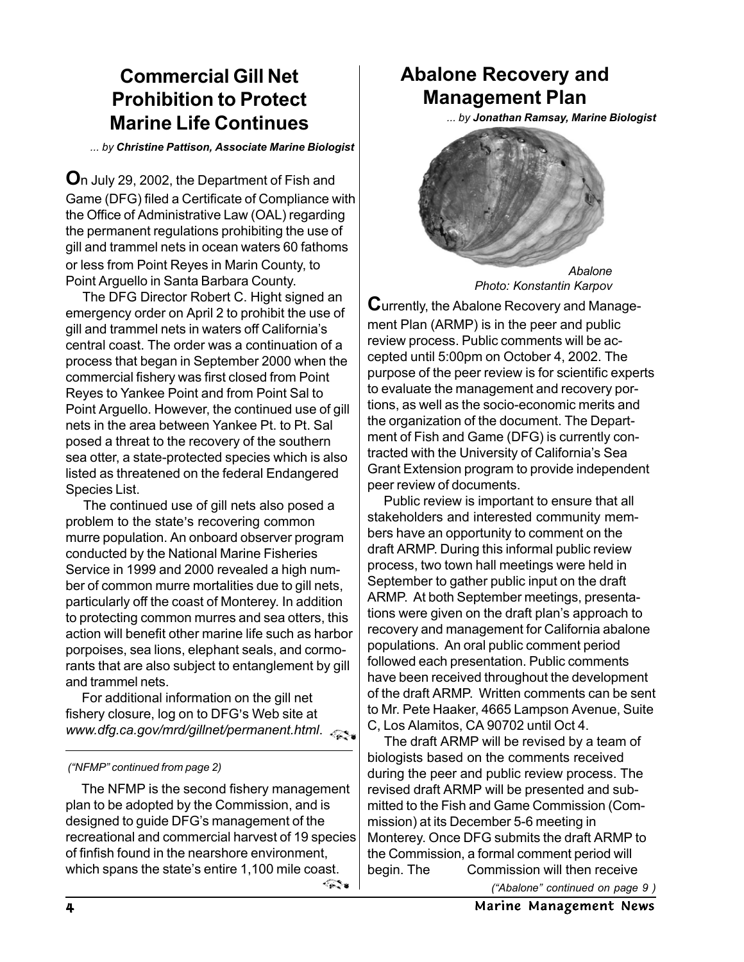### **Commercial Gill Net Prohibition to Protect Marine Life Continues**

*... by Christine Pattison, Associate Marine Biologist*

or less from Point Reyes in Marin County, to Point Arguello in Santa Barbara County. **O**n July 29, 2002, the Department of Fish and Game (DFG) filed a Certificate of Compliance with the Office of Administrative Law (OAL) regarding the permanent regulations prohibiting the use of gill and trammel nets in ocean waters 60 fathoms

 The DFG Director Robert C. Hight signed an emergency order on April 2 to prohibit the use of gill and trammel nets in waters off California's central coast. The order was a continuation of a process that began in September 2000 when the commercial fishery was first closed from Point Reyes to Yankee Point and from Point Sal to Point Arguello. However, the continued use of gill nets in the area between Yankee Pt. to Pt. Sal posed a threat to the recovery of the southern sea otter, a state-protected species which is also listed as threatened on the federal Endangered Species List.

 The continued use of gill nets also posed a problem to the state's recovering common murre population. An onboard observer program conducted by the National Marine Fisheries Service in 1999 and 2000 revealed a high number of common murre mortalities due to gill nets, particularly off the coast of Monterey. In addition to protecting common murres and sea otters, this action will benefit other marine life such as harbor porpoises, sea lions, elephant seals, and cormorants that are also subject to entanglement by gill and trammel nets.

For additional information on the gill net fishery closure, log on to DFG's Web site at *www.dfg.ca.gov/mrd/gillnet/permanent.html*.

#### *("NFMP" continued from page 2)*

 The NFMP is the second fishery management plan to be adopted by the Commission, and is designed to guide DFG's management of the recreational and commercial harvest of 19 species of finfish found in the nearshore environment, which spans the state's entire 1,100 mile coast.

### **Abalone Recovery and Management Plan**

*... by Jonathan Ramsay, Marine Biologist*



*Photo: Konstantin Karpov*

**C**urrently, the Abalone Recovery and Management Plan (ARMP) is in the peer and public review process. Public comments will be accepted until 5:00pm on October 4, 2002. The purpose of the peer review is for scientific experts to evaluate the management and recovery portions, as well as the socio-economic merits and the organization of the document. The Department of Fish and Game (DFG) is currently contracted with the University of California's Sea Grant Extension program to provide independent peer review of documents.

 Public review is important to ensure that all stakeholders and interested community members have an opportunity to comment on the draft ARMP. During this informal public review process, two town hall meetings were held in September to gather public input on the draft ARMP. At both September meetings, presentations were given on the draft plan's approach to recovery and management for California abalone populations. An oral public comment period followed each presentation. Public comments have been received throughout the development of the draft ARMP. Written comments can be sent to Mr. Pete Haaker, 4665 Lampson Avenue, Suite C, Los Alamitos, CA 90702 until Oct 4.

 The draft ARMP will be revised by a team of biologists based on the comments received during the peer and public review process. The revised draft ARMP will be presented and submitted to the Fish and Game Commission (Commission) at its December 5-6 meeting in Monterey. Once DFG submits the draft ARMP to the Commission, a formal comment period will begin. The Commission will then receive

*("Abalone" continued on page 9 )*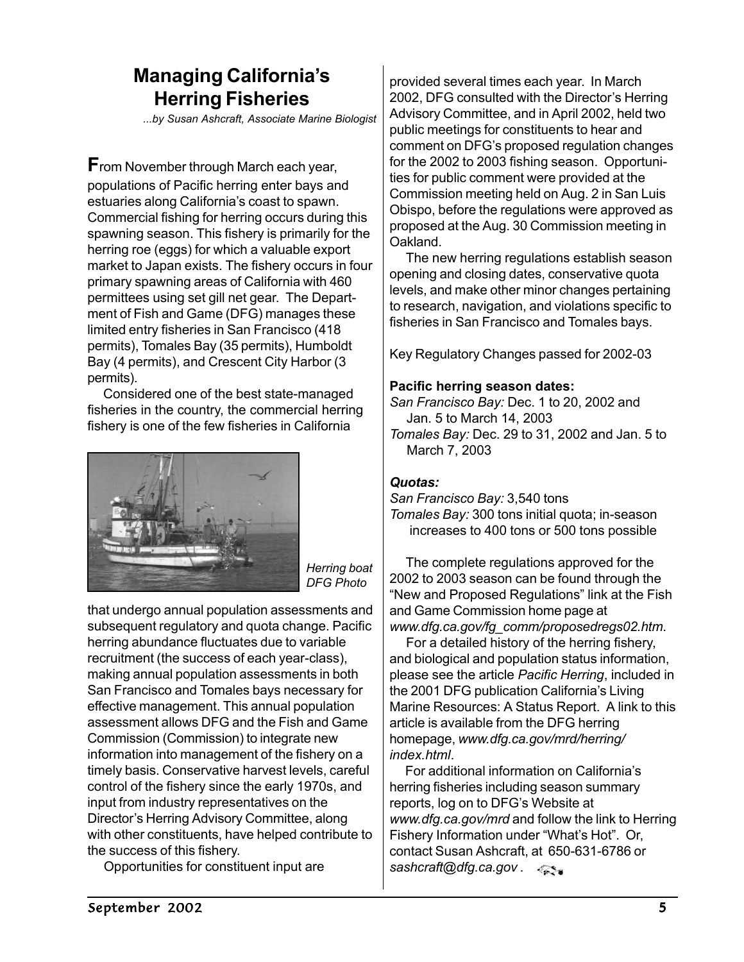### **Managing California's Herring Fisheries**

*...by Susan Ashcraft, Associate Marine Biologist*

**F**rom November through March each year, populations of Pacific herring enter bays and estuaries along California's coast to spawn. Commercial fishing for herring occurs during this spawning season. This fishery is primarily for the herring roe (eggs) for which a valuable export market to Japan exists. The fishery occurs in four primary spawning areas of California with 460 permittees using set gill net gear. The Department of Fish and Game (DFG) manages these limited entry fisheries in San Francisco (418 permits), Tomales Bay (35 permits), Humboldt Bay (4 permits), and Crescent City Harbor (3 permits).

 Considered one of the best state-managed fisheries in the country, the commercial herring fishery is one of the few fisheries in California



*Herring boat DFG Photo*

that undergo annual population assessments and subsequent regulatory and quota change. Pacific herring abundance fluctuates due to variable recruitment (the success of each year-class), making annual population assessments in both San Francisco and Tomales bays necessary for effective management. This annual population assessment allows DFG and the Fish and Game Commission (Commission) to integrate new information into management of the fishery on a timely basis. Conservative harvest levels, careful control of the fishery since the early 1970s, and input from industry representatives on the Director's Herring Advisory Committee, along with other constituents, have helped contribute to the success of this fishery.

Opportunities for constituent input are

provided several times each year. In March 2002, DFG consulted with the Director's Herring Advisory Committee, and in April 2002, held two public meetings for constituents to hear and comment on DFG's proposed regulation changes for the 2002 to 2003 fishing season. Opportunities for public comment were provided at the Commission meeting held on Aug. 2 in San Luis Obispo, before the regulations were approved as proposed at the Aug. 30 Commission meeting in Oakland.

 The new herring regulations establish season opening and closing dates, conservative quota levels, and make other minor changes pertaining to research, navigation, and violations specific to fisheries in San Francisco and Tomales bays.

Key Regulatory Changes passed for 2002-03

#### **Pacific herring season dates:**

*San Francisco Bay:* Dec. 1 to 20, 2002 and Jan. 5 to March 14, 2003 *Tomales Bay:* Dec. 29 to 31, 2002 and Jan. 5 to

March 7, 2003

#### *Quotas:*

*San Francisco Bay:* 3,540 tons *Tomales Bay:* 300 tons initial quota; in-season increases to 400 tons or 500 tons possible

 The complete regulations approved for the 2002 to 2003 season can be found through the "New and Proposed Regulations" link at the Fish and Game Commission home page at *www.dfg.ca.gov/fg\_comm/proposedregs02.htm*.

 For a detailed history of the herring fishery, and biological and population status information, please see the article *Pacific Herring*, included in the 2001 DFG publication California's Living Marine Resources: A Status Report. A link to this article is available from the DFG herring homepage, *www.dfg.ca.gov/mrd/herring/ index.html*.

 For additional information on California's herring fisheries including season summary reports, log on to DFG's Website at *www.dfg.ca.gov/mrd* and follow the link to Herring Fishery Information under "What's Hot". Or, contact Susan Ashcraft, at 650-631-6786 or *sashcraft@dfg.ca.gov* .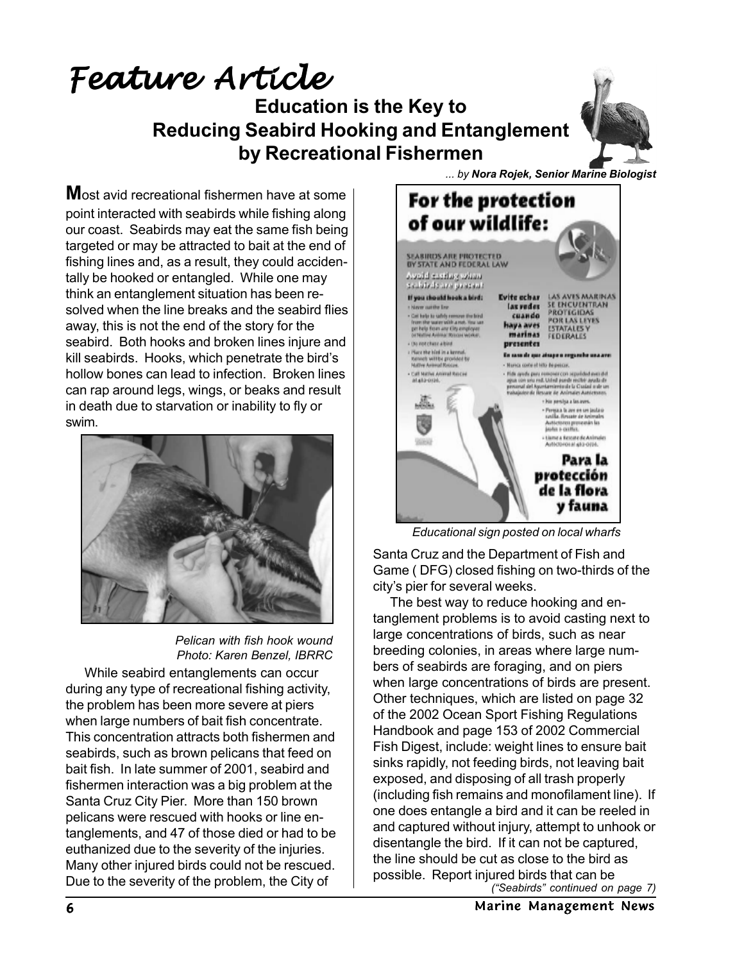# **Education is the Key to Reducing Seabird Hooking and Entanglement by Recreational Fishermen** Feature Article

**M**ost avid recreational fishermen have at some point interacted with seabirds while fishing along our coast. Seabirds may eat the same fish being targeted or may be attracted to bait at the end of fishing lines and, as a result, they could accidentally be hooked or entangled. While one may think an entanglement situation has been resolved when the line breaks and the seabird flies away, this is not the end of the story for the seabird. Both hooks and broken lines injure and kill seabirds. Hooks, which penetrate the bird's hollow bones can lead to infection. Broken lines can rap around legs, wings, or beaks and result in death due to starvation or inability to fly or swim.



*Pelican with fish hook wound Photo: Karen Benzel, IBRRC*

 While seabird entanglements can occur during any type of recreational fishing activity, the problem has been more severe at piers when large numbers of bait fish concentrate. This concentration attracts both fishermen and seabirds, such as brown pelicans that feed on bait fish. In late summer of 2001, seabird and fishermen interaction was a big problem at the Santa Cruz City Pier. More than 150 brown pelicans were rescued with hooks or line entanglements, and 47 of those died or had to be euthanized due to the severity of the injuries. Many other injured birds could not be rescued. Due to the severity of the problem, the City of



*Educational sign posted on local wharfs*

Santa Cruz and the Department of Fish and Game ( DFG) closed fishing on two-thirds of the city's pier for several weeks.

 The best way to reduce hooking and entanglement problems is to avoid casting next to large concentrations of birds, such as near breeding colonies, in areas where large numbers of seabirds are foraging, and on piers when large concentrations of birds are present. Other techniques, which are listed on page 32 of the 2002 Ocean Sport Fishing Regulations Handbook and page 153 of 2002 Commercial Fish Digest, include: weight lines to ensure bait sinks rapidly, not feeding birds, not leaving bait exposed, and disposing of all trash properly (including fish remains and monofilament line). If one does entangle a bird and it can be reeled in and captured without injury, attempt to unhook or disentangle the bird. If it can not be captured, the line should be cut as close to the bird as possible. Report injured birds that can be *("Seabirds" continued on page 7)*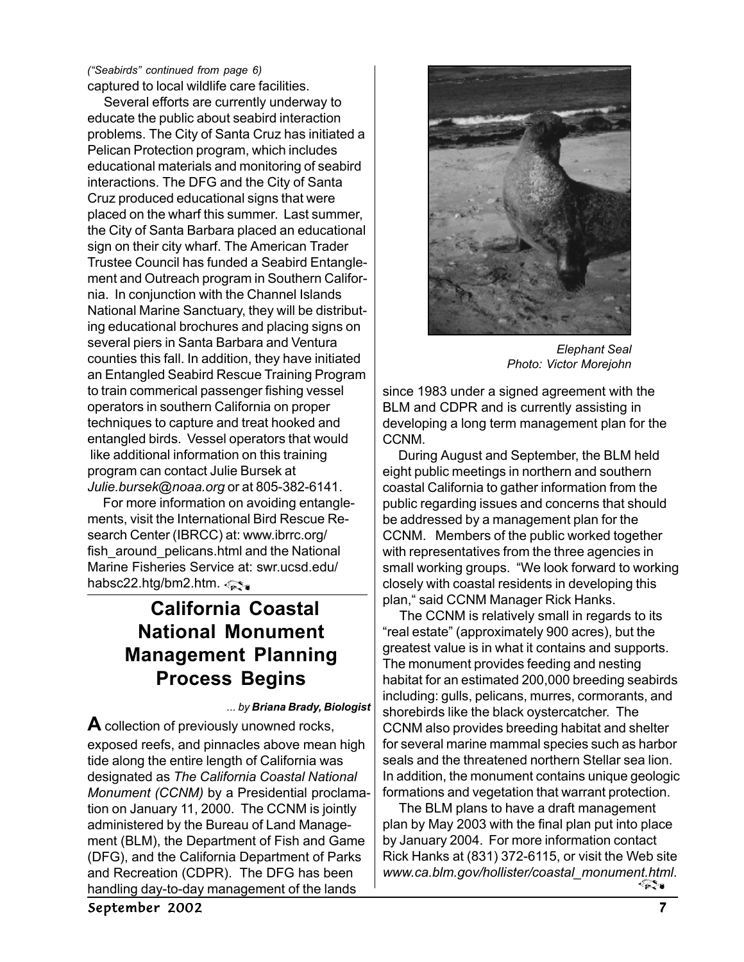captured to local wildlife care facilities. *("Seabirds" continued from page 6)*

 Several efforts are currently underway to educate the public about seabird interaction problems. The City of Santa Cruz has initiated a Pelican Protection program, which includes educational materials and monitoring of seabird interactions. The DFG and the City of Santa Cruz produced educational signs that were placed on the wharf this summer. Last summer, the City of Santa Barbara placed an educational sign on their city wharf. The American Trader Trustee Council has funded a Seabird Entanglement and Outreach program in Southern California. In conjunction with the Channel Islands National Marine Sanctuary, they will be distributing educational brochures and placing signs on several piers in Santa Barbara and Ventura counties this fall. In addition, they have initiated an Entangled Seabird Rescue Training Program to train commerical passenger fishing vessel operators in southern California on proper techniques to capture and treat hooked and entangled birds. Vessel operators that would like additional information on this training program can contact Julie Bursek at *Julie.bursek@noaa.org* or at 805-382-6141.

 For more information on avoiding entanglements, visit the International Bird Rescue Research Center (IBRCC) at: www.ibrrc.org/ fish around pelicans.html and the National Marine Fisheries Service at: swr.ucsd.edu/ habsc22.htg/bm2.htm.

### **California Coastal National Monument Management Planning Process Begins**

*... by Briana Brady, Biologist*

**A** collection of previously unowned rocks, exposed reefs, and pinnacles above mean high tide along the entire length of California was designated as *The California Coastal National Monument (CCNM)* by a Presidential proclamation on January 11, 2000. The CCNM is jointly administered by the Bureau of Land Management (BLM), the Department of Fish and Game (DFG), and the California Department of Parks and Recreation (CDPR). The DFG has been handling day-to-day management of the lands



*Elephant Seal Photo: Victor Morejohn*

since 1983 under a signed agreement with the BLM and CDPR and is currently assisting in developing a long term management plan for the CCNM.

During August and September, the BLM held eight public meetings in northern and southern coastal California to gather information from the public regarding issues and concerns that should be addressed by a management plan for the CCNM. Members of the public worked together with representatives from the three agencies in small working groups. "We look forward to working closely with coastal residents in developing this plan," said CCNM Manager Rick Hanks.

 The CCNM is relatively small in regards to its "real estate" (approximately 900 acres), but the greatest value is in what it contains and supports. The monument provides feeding and nesting habitat for an estimated 200,000 breeding seabirds including: gulls, pelicans, murres, cormorants, and shorebirds like the black oystercatcher. The CCNM also provides breeding habitat and shelter for several marine mammal species such as harbor seals and the threatened northern Stellar sea lion. In addition, the monument contains unique geologic formations and vegetation that warrant protection.

 The BLM plans to have a draft management plan by May 2003 with the final plan put into place by January 2004. For more information contact Rick Hanks at (831) 372-6115, or visit the Web site *www.ca.blm.gov/hollister/coastal\_monument.html*.<u>୍କ କ</u>

September 2002 7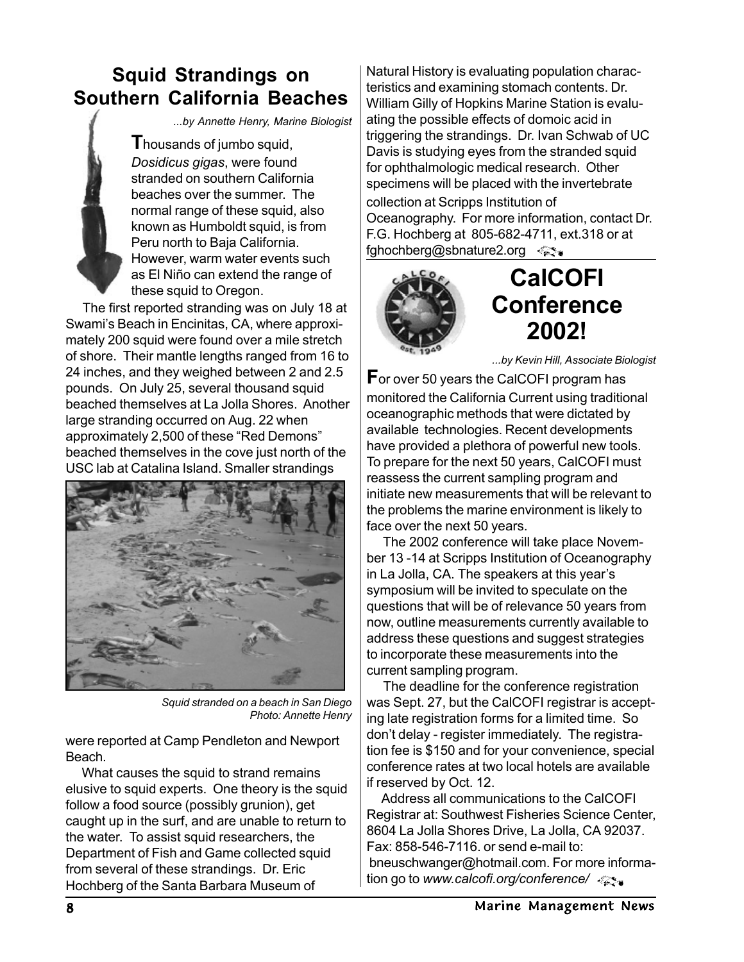### **Squid Strandings on Southern California Beaches**

*...by Annette Henry, Marine Biologist*

**I** housands of jumbo squid, *Dosidicus gigas*, were found stranded on southern California beaches over the summer. The normal range of these squid, also known as Humboldt squid, is from Peru north to Baja California. However, warm water events such as El Niño can extend the range of these squid to Oregon.

 The first reported stranding was on July 18 at Swami's Beach in Encinitas, CA, where approximately 200 squid were found over a mile stretch of shore. Their mantle lengths ranged from 16 to 24 inches, and they weighed between 2 and 2.5 pounds. On July 25, several thousand squid beached themselves at La Jolla Shores. Another large stranding occurred on Aug. 22 when approximately 2,500 of these "Red Demons" beached themselves in the cove just north of the USC lab at Catalina Island. Smaller strandings



*Squid stranded on a beach in San Diego Photo: Annette Henry*

were reported at Camp Pendleton and Newport Beach.

 What causes the squid to strand remains elusive to squid experts. One theory is the squid follow a food source (possibly grunion), get caught up in the surf, and are unable to return to the water. To assist squid researchers, the Department of Fish and Game collected squid from several of these strandings. Dr. Eric Hochberg of the Santa Barbara Museum of

Natural History is evaluating population characteristics and examining stomach contents. Dr. William Gilly of Hopkins Marine Station is evaluating the possible effects of domoic acid in triggering the strandings. Dr. Ivan Schwab of UC Davis is studying eyes from the stranded squid for ophthalmologic medical research. Other specimens will be placed with the invertebrate collection at Scripps Institution of Oceanography. For more information, contact Dr. F.G. Hochberg at 805-682-4711, ext.318 or at fghochberg@sbnature2.org



# **CalCOFI Conference 2002!**

*...by Kevin Hill, Associate Biologist*

**F**or over 50 years the CalCOFI program has monitored the California Current using traditional oceanographic methods that were dictated by available technologies. Recent developments have provided a plethora of powerful new tools. To prepare for the next 50 years, CalCOFI must reassess the current sampling program and initiate new measurements that will be relevant to the problems the marine environment is likely to face over the next 50 years.

 The 2002 conference will take place November 13 -14 at Scripps Institution of Oceanography in La Jolla, CA. The speakers at this year's symposium will be invited to speculate on the questions that will be of relevance 50 years from now, outline measurements currently available to address these questions and suggest strategies to incorporate these measurements into the current sampling program.

 The deadline for the conference registration was Sept. 27, but the CalCOFI registrar is accepting late registration forms for a limited time. So don't delay - register immediately. The registration fee is \$150 and for your convenience, special conference rates at two local hotels are available if reserved by Oct. 12.

 Address all communications to the CalCOFI Registrar at: Southwest Fisheries Science Center, 8604 La Jolla Shores Drive, La Jolla, CA 92037. Fax: 858-546-7116. or send e-mail to: bneuschwanger@hotmail.com. For more information go to *www.calcofi.org/conference/*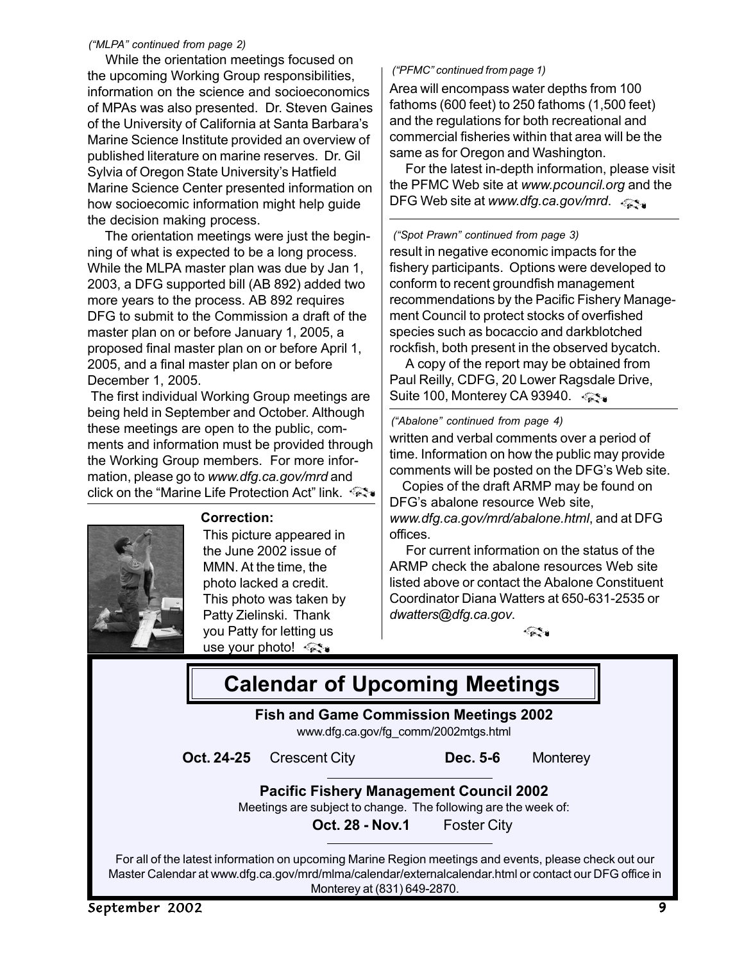#### *("MLPA" continued from page 2)*

 While the orientation meetings focused on the upcoming Working Group responsibilities, information on the science and socioeconomics of MPAs was also presented. Dr. Steven Gaines of the University of California at Santa Barbara's Marine Science Institute provided an overview of published literature on marine reserves. Dr. Gil Sylvia of Oregon State University's Hatfield Marine Science Center presented information on how socioecomic information might help guide the decision making process.

 The orientation meetings were just the beginning of what is expected to be a long process. While the MLPA master plan was due by Jan 1, 2003, a DFG supported bill (AB 892) added two more years to the process. AB 892 requires DFG to submit to the Commission a draft of the master plan on or before January 1, 2005, a proposed final master plan on or before April 1, 2005, and a final master plan on or before December 1, 2005.

 The first individual Working Group meetings are being held in September and October. Although these meetings are open to the public, comments and information must be provided through the Working Group members. For more information, please go to *www.dfg.ca.gov/mrd* and click on the "Marine Life Protection Act" link.

**Correction:**



This picture appeared in the June 2002 issue of MMN. At the time, the photo lacked a credit. This photo was taken by Patty Zielinski. Thank you Patty for letting us use your photo!

#### *("PFMC" continued from page 1)*

Area will encompass water depths from 100 fathoms (600 feet) to 250 fathoms (1,500 feet) and the regulations for both recreational and commercial fisheries within that area will be the same as for Oregon and Washington.

 For the latest in-depth information, please visit the PFMC Web site at *www.pcouncil.org* and the DFG Web site at *www.dfg.ca.gov/mrd.* 

result in negative economic impacts for the fishery participants. Options were developed to conform to recent groundfish management recommendations by the Pacific Fishery Management Council to protect stocks of overfished species such as bocaccio and darkblotched rockfish, both present in the observed bycatch. *("Spot Prawn" continued from page 3)*

 A copy of the report may be obtained from Paul Reilly, CDFG, 20 Lower Ragsdale Drive, Suite 100, Monterey CA 93940.  $\lll$ 

#### *("Abalone" continued from page 4)*

written and verbal comments over a period of time. Information on how the public may provide comments will be posted on the DFG's Web site.

 Copies of the draft ARMP may be found on DFG's abalone resource Web site, *www.dfg.ca.gov/mrd/abalone.html*, and at DFG offices.

 For current information on the status of the ARMP check the abalone resources Web site listed above or contact the Abalone Constituent Coordinator Diana Watters at 650-631-2535 or *dwatters@dfg.ca.gov*.

*र द*ूर ॥

| <b>Calendar of Upcoming Meetings</b>                                                                             |                                                                                                                                                                                                                                                |                    |          |  |
|------------------------------------------------------------------------------------------------------------------|------------------------------------------------------------------------------------------------------------------------------------------------------------------------------------------------------------------------------------------------|--------------------|----------|--|
| <b>Fish and Game Commission Meetings 2002</b><br>www.dfg.ca.gov/fg_comm/2002mtgs.html                            |                                                                                                                                                                                                                                                |                    |          |  |
| Oct. 24-25                                                                                                       | <b>Crescent City</b>                                                                                                                                                                                                                           | Dec. 5-6           | Monterey |  |
| <b>Pacific Fishery Management Council 2002</b><br>Meetings are subject to change. The following are the week of: |                                                                                                                                                                                                                                                |                    |          |  |
|                                                                                                                  | <b>Oct. 28 - Nov.1</b>                                                                                                                                                                                                                         | <b>Foster City</b> |          |  |
|                                                                                                                  | For all of the latest information on upcoming Marine Region meetings and events, please check out our<br>Master Calendar at www.dfg.ca.gov/mrd/mlma/calendar/externalcalendar.html or contact our DFG office in<br>Monterey at (831) 649-2870. |                    |          |  |
| September 2002                                                                                                   |                                                                                                                                                                                                                                                |                    | 9        |  |